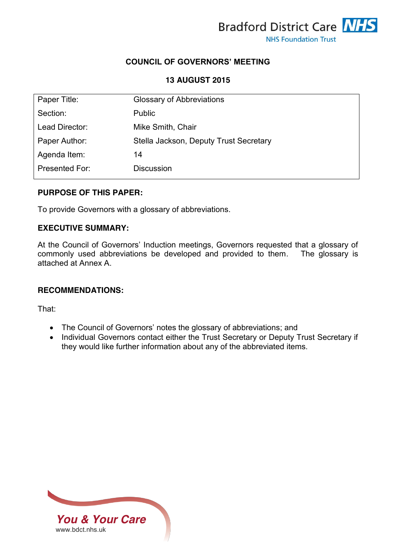

## **COUNCIL OF GOVERNORS' MEETING**

### **13 AUGUST 2015**

| Paper Title:   | <b>Glossary of Abbreviations</b>       |
|----------------|----------------------------------------|
| Section:       | <b>Public</b>                          |
| Lead Director: | Mike Smith, Chair                      |
| Paper Author:  | Stella Jackson, Deputy Trust Secretary |
| Agenda Item:   | 14                                     |
| Presented For: | <b>Discussion</b>                      |

### **PURPOSE OF THIS PAPER:**

To provide Governors with a glossary of abbreviations.

### **EXECUTIVE SUMMARY:**

At the Council of Governors' Induction meetings, Governors requested that a glossary of commonly used abbreviations be developed and provided to them. The glossary is attached at Annex A.

### **RECOMMENDATIONS:**

That:

- The Council of Governors' notes the glossary of abbreviations; and
- Individual Governors contact either the Trust Secretary or Deputy Trust Secretary if they would like further information about any of the abbreviated items.

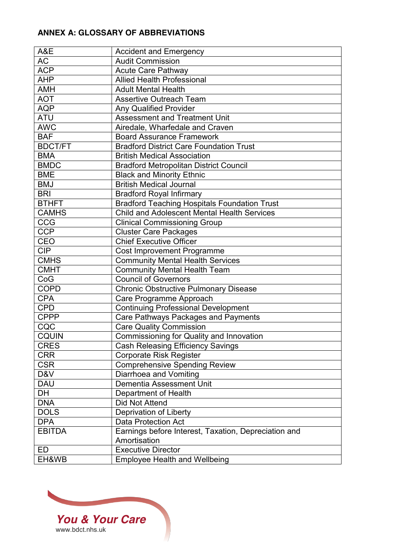# **ANNEX A: GLOSSARY OF ABBREVIATIONS**

| A&E            | <b>Accident and Emergency</b>                        |
|----------------|------------------------------------------------------|
| AC             | <b>Audit Commission</b>                              |
| <b>ACP</b>     | <b>Acute Care Pathway</b>                            |
| <b>AHP</b>     | <b>Allied Health Professional</b>                    |
| <b>AMH</b>     | <b>Adult Mental Health</b>                           |
| <b>AOT</b>     | <b>Assertive Outreach Team</b>                       |
| <b>AQP</b>     | <b>Any Qualified Provider</b>                        |
| <b>ATU</b>     | <b>Assessment and Treatment Unit</b>                 |
| <b>AWC</b>     | Airedale, Wharfedale and Craven                      |
| <b>BAF</b>     | <b>Board Assurance Framework</b>                     |
| <b>BDCT/FT</b> | <b>Bradford District Care Foundation Trust</b>       |
| <b>BMA</b>     | <b>British Medical Association</b>                   |
| <b>BMDC</b>    | <b>Bradford Metropolitan District Council</b>        |
| <b>BME</b>     | <b>Black and Minority Ethnic</b>                     |
| <b>BMJ</b>     | <b>British Medical Journal</b>                       |
| <b>BRI</b>     | <b>Bradford Royal Infirmary</b>                      |
| <b>BTHFT</b>   | <b>Bradford Teaching Hospitals Foundation Trust</b>  |
| <b>CAMHS</b>   | <b>Child and Adolescent Mental Health Services</b>   |
| <b>CCG</b>     | <b>Clinical Commissioning Group</b>                  |
| <b>CCP</b>     | <b>Cluster Care Packages</b>                         |
| CEO            | <b>Chief Executive Officer</b>                       |
| <b>CIP</b>     | Cost Improvement Programme                           |
| <b>CMHS</b>    | <b>Community Mental Health Services</b>              |
| <b>CMHT</b>    | <b>Community Mental Health Team</b>                  |
| CoG            | <b>Council of Governors</b>                          |
| <b>COPD</b>    | <b>Chronic Obstructive Pulmonary Disease</b>         |
| <b>CPA</b>     | Care Programme Approach                              |
| CPD            | <b>Continuing Professional Development</b>           |
| <b>CPPP</b>    | Care Pathways Packages and Payments                  |
| CQC            | <b>Care Quality Commission</b>                       |
| <b>CQUIN</b>   | Commissioning for Quality and Innovation             |
| <b>CRES</b>    | <b>Cash Releasing Efficiency Savings</b>             |
| <b>CRR</b>     | <b>Corporate Risk Register</b>                       |
| <b>CSR</b>     | <b>Comprehensive Spending Review</b>                 |
| D&V            | Diarrhoea and Vomiting                               |
| <b>DAU</b>     | Dementia Assessment Unit                             |
| <b>DH</b>      | Department of Health                                 |
| <b>DNA</b>     | Did Not Attend                                       |
| <b>DOLS</b>    | Deprivation of Liberty                               |
| <b>DPA</b>     | <b>Data Protection Act</b>                           |
| <b>EBITDA</b>  | Earnings before Interest, Taxation, Depreciation and |
|                | Amortisation                                         |
| ED             | <b>Executive Director</b>                            |
|                |                                                      |
| EH&WB          | <b>Employee Health and Wellbeing</b>                 |

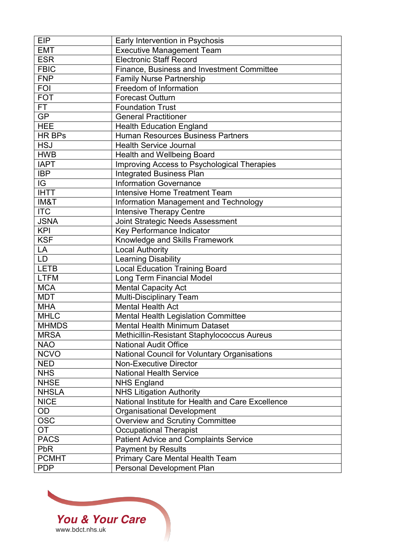| <b>EIP</b>    | Early Intervention in Psychosis                   |
|---------------|---------------------------------------------------|
| <b>EMT</b>    | <b>Executive Management Team</b>                  |
| <b>ESR</b>    | <b>Electronic Staff Record</b>                    |
| <b>FBIC</b>   | Finance, Business and Investment Committee        |
| <b>FNP</b>    | <b>Family Nurse Partnership</b>                   |
| <b>FOI</b>    | Freedom of Information                            |
| <b>FOT</b>    | <b>Forecast Outturn</b>                           |
| FT            | <b>Foundation Trust</b>                           |
| GP            | <b>General Practitioner</b>                       |
| <b>HEE</b>    | <b>Health Education England</b>                   |
| <b>HR BPs</b> | Human Resources Business Partners                 |
| <b>HSJ</b>    | <b>Health Service Journal</b>                     |
| <b>HWB</b>    | Health and Wellbeing Board                        |
| <b>IAPT</b>   | Improving Access to Psychological Therapies       |
| <b>IBP</b>    | <b>Integrated Business Plan</b>                   |
| IG            | <b>Information Governance</b>                     |
| <b>IHTT</b>   | <b>Intensive Home Treatment Team</b>              |
| IM&T          | Information Management and Technology             |
| <b>ITC</b>    | <b>Intensive Therapy Centre</b>                   |
| <b>JSNA</b>   | Joint Strategic Needs Assessment                  |
| <b>KPI</b>    | Key Performance Indicator                         |
| <b>KSF</b>    | Knowledge and Skills Framework                    |
| LA            | <b>Local Authority</b>                            |
| <b>LD</b>     | <b>Learning Disability</b>                        |
| <b>LETB</b>   | <b>Local Education Training Board</b>             |
| <b>LTFM</b>   | Long Term Financial Model                         |
| <b>MCA</b>    | <b>Mental Capacity Act</b>                        |
| <b>MDT</b>    | <b>Multi-Disciplinary Team</b>                    |
| <b>MHA</b>    | Mental Health Act                                 |
| <b>MHLC</b>   | Mental Health Legislation Committee               |
| <b>MHMDS</b>  | <b>Mental Health Minimum Dataset</b>              |
| <b>MRSA</b>   | Methicillin-Resistant Staphylococcus Aureus       |
| <b>NAO</b>    | <b>National Audit Office</b>                      |
| <b>NCVO</b>   | National Council for Voluntary Organisations      |
| <b>NED</b>    | <b>Non-Executive Director</b>                     |
| <b>NHS</b>    | <b>National Health Service</b>                    |
| <b>NHSE</b>   | <b>NHS England</b>                                |
| <b>NHSLA</b>  | <b>NHS Litigation Authority</b>                   |
| <b>NICE</b>   | National Institute for Health and Care Excellence |
| OD            | <b>Organisational Development</b>                 |
| <b>OSC</b>    | <b>Overview and Scrutiny Committee</b>            |
| <b>OT</b>     | <b>Occupational Therapist</b>                     |
| <b>PACS</b>   | <b>Patient Advice and Complaints Service</b>      |
| <b>PbR</b>    | <b>Payment by Results</b>                         |
| <b>PCMHT</b>  | Primary Care Mental Health Team                   |
| <b>PDP</b>    | Personal Development Plan                         |